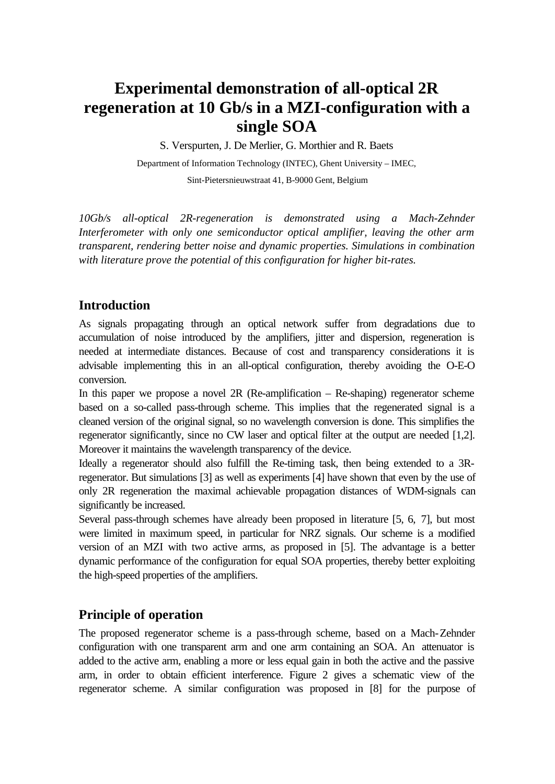# **Experimental demonstration of all-optical 2R regeneration at 10 Gb/s in a MZI-configuration with a single SOA**

S. Verspurten, J. De Merlier, G. Morthier and R. Baets

Department of Information Technology (INTEC), Ghent University – IMEC, Sint-Pietersnieuwstraat 41, B-9000 Gent, Belgium

*10Gb/s all-optical 2R-regeneration is demonstrated using a Mach-Zehnder Interferometer with only one semiconductor optical amplifier, leaving the other arm transparent, rendering better noise and dynamic properties. Simulations in combination with literature prove the potential of this configuration for higher bit-rates.*

# **Introduction**

As signals propagating through an optical network suffer from degradations due to accumulation of noise introduced by the amplifiers, jitter and dispersion, regeneration is needed at intermediate distances. Because of cost and transparency considerations it is advisable implementing this in an all-optical configuration, thereby avoiding the O-E-O conversion.

In this paper we propose a novel 2R (Re-amplification – Re-shaping) regenerator scheme based on a so-called pass-through scheme. This implies that the regenerated signal is a cleaned version of the original signal, so no wavelength conversion is done. This simplifies the regenerator significantly, since no CW laser and optical filter at the output are needed [1,2]. Moreover it maintains the wavelength transparency of the device.

Ideally a regenerator should also fulfill the Re-timing task, then being extended to a 3Rregenerator. But simulations [3] as well as experiments [4] have shown that even by the use of only 2R regeneration the maximal achievable propagation distances of WDM-signals can significantly be increased.

Several pass-through schemes have already been proposed in literature [5, 6, 7], but most were limited in maximum speed, in particular for NRZ signals. Our scheme is a modified version of an MZI with two active arms, as proposed in [5]. The advantage is a better dynamic performance of the configuration for equal SOA properties, thereby better exploiting the high-speed properties of the amplifiers.

# **Principle of operation**

The proposed regenerator scheme is a pass-through scheme, based on a Mach-Zehnder configuration with one transparent arm and one arm containing an SOA. An attenuator is added to the active arm, enabling a more or less equal gain in both the active and the passive arm, in order to obtain efficient interference. Figure 2 gives a schematic view of the regenerator scheme. A similar configuration was proposed in [8] for the purpose of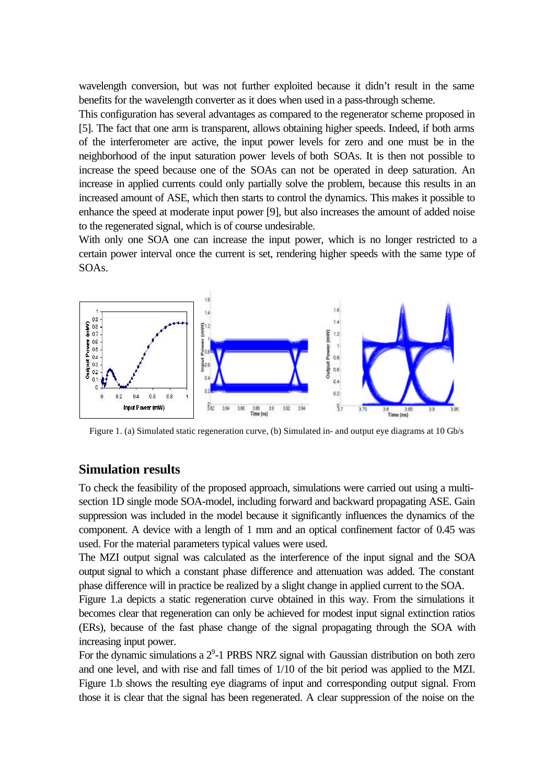wavelength conversion, but was not further exploited because it didn't result in the same benefits for the wavelength converter as it does when used in a pass-through scheme.

This configuration has several advantages as compared to the regenerator scheme proposed in [5]. The fact that one arm is transparent, allows obtaining higher speeds. Indeed, if both arms of the interferometer are active, the input power levels for zero and one must be in the neighborhood of the input saturation power levels of both SOAs. It is then not possible to increase the speed because one of the SOAs can not be operated in deep saturation. An increase in applied currents could only partially solve the problem, because this results in an increased amount of ASE, which then starts to control the dynamics. This makes it possible to enhance the speed at moderate input power [9], but also increases the amount of added noise to the regenerated signal, which is of course undesirable.

With only one SOA one can increase the input power, which is no longer restricted to a certain power interval once the current is set, rendering higher speeds with the same type of SOAs.



Figure 1. (a) Simulated static regeneration curve, (b) Simulated in- and output eye diagrams at 10 Gb/s

#### **Simulation results**

To check the feasibility of the proposed approach, simulations were carried out using a multisection 1D single mode SOA-model, including forward and backward propagating ASE. Gain suppression was included in the model because it significantly influences the dynamics of the component. A device with a length of 1 mm and an optical confinement factor of 0.45 was used. For the material parameters typical values were used.

The MZI output signal was calculated as the interference of the input signal and the SOA output signal to which a constant phase difference and attenuation was added. The constant phase difference will in practice be realized by a slight change in applied current to the SOA.

Figure 1.a depicts a static regeneration curve obtained in this way. From the simulations it becomes clear that regeneration can only be achieved for modest input signal extinction ratios (ERs), because of the fast phase change of the signal propagating through the SOA with increasing input power.

For the dynamic simulations a  $2^9$ -1 PRBS NRZ signal with Gaussian distribution on both zero and one level, and with rise and fall times of 1/10 of the bit period was applied to the MZI. Figure 1.b shows the resulting eye diagrams of input and corresponding output signal. From those it is clear that the signal has been regenerated. A clear suppression of the noise on the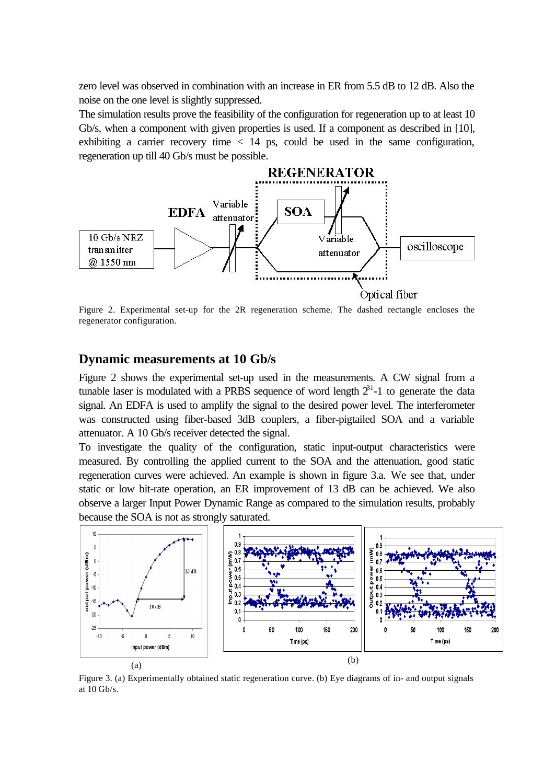zero level was observed in combination with an increase in ER from 5.5 dB to 12 dB. Also the noise on the one level is slightly suppressed.

The simulation results prove the feasibility of the configuration for regeneration up to at least 10 Gb/s, when a component with given properties is used. If a component as described in [10], exhibiting a carrier recovery time  $\langle 14 \rangle$  ps, could be used in the same configuration, regeneration up till 40 Gb/s must be possible.



Figure 2. Experimental set-up for the 2R regeneration scheme. The dashed rectangle encloses the regenerator configuration.

## **Dynamic measurements at 10 Gb/s**

Figure 2 shows the experimental set-up used in the measurements. A CW signal from a tunable laser is modulated with a PRBS sequence of word length  $2^{31}$ -1 to generate the data signal. An EDFA is used to amplify the signal to the desired power level. The interferometer was constructed using fiber-based 3dB couplers, a fiber-pigtailed SOA and a variable attenuator. A 10 Gb/s receiver detected the signal.

To investigate the quality of the configuration, static input-output characteristics were measured. By controlling the applied current to the SOA and the attenuation, good static regeneration curves were achieved. An example is shown in figure 3.a. We see that, under static or low bit-rate operation, an ER improvement of 13 dB can be achieved. We also observe a larger Input Power Dynamic Range as compared to the simulation results, probably because the SOA is not as strongly saturated.



Figure 3. (a) Experimentally obtained static regeneration curve. (b) Eye diagrams of in- and output signals at 10 Gb/s.